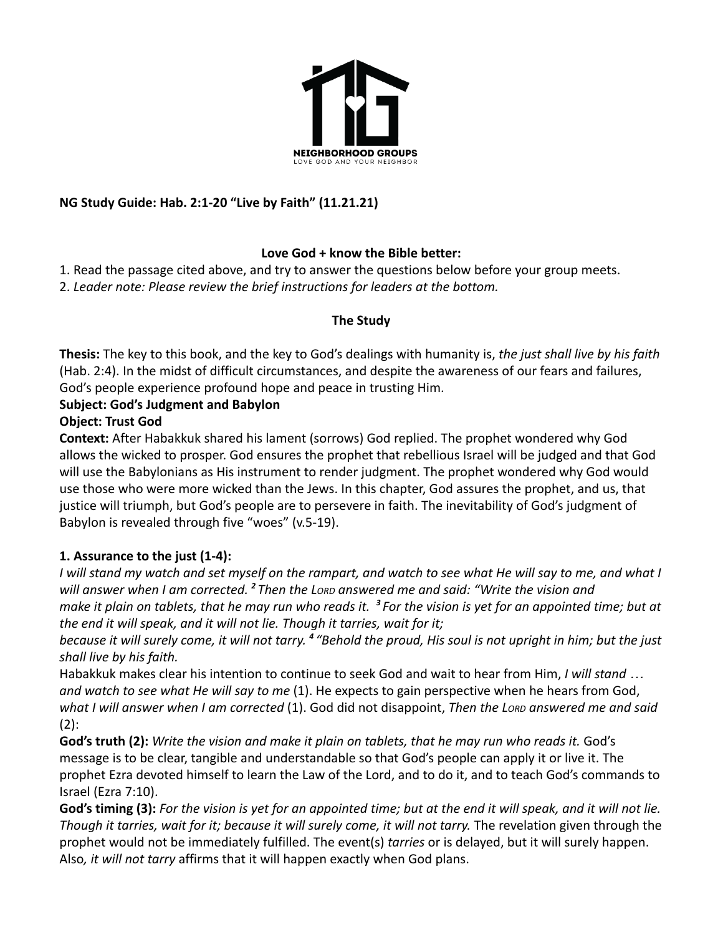

# **NG Study Guide: Hab. 2:1-20 "Live by Faith" (11.21.21)**

#### **Love God + know the Bible better:**

1. Read the passage cited above, and try to answer the questions below before your group meets.

2. *Leader note: Please review the brief instructions for leaders at the bottom.*

#### **The Study**

**Thesis:** The key to this book, and the key to God's dealings with humanity is, *the just shall live by his faith* (Hab. 2:4). In the midst of difficult circumstances, and despite the awareness of our fears and failures, God's people experience profound hope and peace in trusting Him.

## **Subject: God's Judgment and Babylon**

## **Object: Trust God**

**Context:** After Habakkuk shared his lament (sorrows) God replied. The prophet wondered why God allows the wicked to prosper. God ensures the prophet that rebellious Israel will be judged and that God will use the Babylonians as His instrument to render judgment. The prophet wondered why God would use those who were more wicked than the Jews. In this chapter, God assures the prophet, and us, that justice will triumph, but God's people are to persevere in faith. The inevitability of God's judgment of Babylon is revealed through five "woes" (v.5-19).

# **1. Assurance to the just (1-4):**

*I will stand my watch and set myself on the rampart, and watch to see what He will say to me, and what I will answer when I am corrected. <sup>2</sup> Then the LORD answered me and said: "Write the vision and make it plain on tablets, that he may run who reads it. <sup>3</sup> For the vision is yet for an appointed time; but at the end it will speak, and it will not lie. Though it tarries, wait for it;*

*because it will surely come, it will not tarry. <sup>4</sup> "Behold the proud, His soul is not upright in him; but the just shall live by his faith.*

Habakkuk makes clear his intention to continue to seek God and wait to hear from Him, *I will stand … and watch to see what He will say to me* (1). He expects to gain perspective when he hears from God, *what I will answer when I am corrected* (1). God did not disappoint, *Then the LORD answered me and said*  $(2)$ :

**God's truth (2):** *Write the vision and make it plain on tablets, that he may run who reads it.* God's message is to be clear, tangible and understandable so that God's people can apply it or live it. The prophet Ezra devoted himself to learn the Law of the Lord, and to do it, and to teach God's commands to Israel (Ezra 7:10).

**God's timing (3):** *For the vision is yet for an appointed time; but at the end it will speak, and it will not lie. Though it tarries, wait for it; because it will surely come, it will not tarry.* The revelation given through the prophet would not be immediately fulfilled. The event(s) *tarries* or is delayed, but it will surely happen. Also*, it will not tarry* affirms that it will happen exactly when God plans.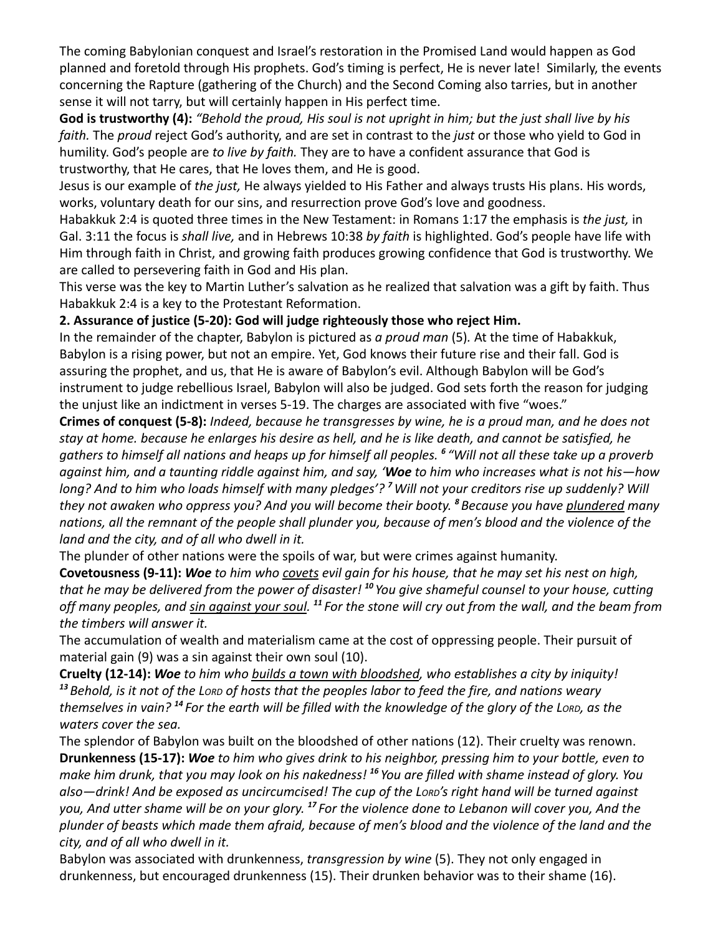The coming Babylonian conquest and Israel's restoration in the Promised Land would happen as God planned and foretold through His prophets. God's timing is perfect, He is never late! Similarly, the events concerning the Rapture (gathering of the Church) and the Second Coming also tarries, but in another sense it will not tarry, but will certainly happen in His perfect time.

**God is trustworthy (4):** *"Behold the proud, His soul is not upright in him; but the just shall live by his faith.* The *proud* reject God's authority, and are set in contrast to the *just* or those who yield to God in humility. God's people are *to live by faith.* They are to have a confident assurance that God is trustworthy, that He cares, that He loves them, and He is good.

Jesus is our example of *the just,* He always yielded to His Father and always trusts His plans. His words, works, voluntary death for our sins, and resurrection prove God's love and goodness.

Habakkuk 2:4 is quoted three times in the New Testament: in Romans 1:17 the emphasis is *the just,* in Gal. 3:11 the focus is *shall live,* and in Hebrews 10:38 *by faith* is highlighted. God's people have life with Him through faith in Christ, and growing faith produces growing confidence that God is trustworthy. We are called to persevering faith in God and His plan.

This verse was the key to Martin Luther's salvation as he realized that salvation was a gift by faith. Thus Habakkuk 2:4 is a key to the Protestant Reformation.

## **2. Assurance of justice (5-20): God will judge righteously those who reject Him.**

In the remainder of the chapter, Babylon is pictured as *a proud man* (5)*.* At the time of Habakkuk, Babylon is a rising power, but not an empire. Yet, God knows their future rise and their fall. God is assuring the prophet, and us, that He is aware of Babylon's evil. Although Babylon will be God's instrument to judge rebellious Israel, Babylon will also be judged. God sets forth the reason for judging the unjust like an indictment in verses 5-19. The charges are associated with five "woes."

**Crimes of conquest (5-8):** *Indeed, because he transgresses by wine, he is a proud man, and he does not stay at home. because he enlarges his desire as hell, and he is like death, and cannot be satisfied, he gathers to himself all nations and heaps up for himself all peoples. <sup>6</sup> "Will not all these take up a proverb against him, and a taunting riddle against him, and say, 'Woe to him who increases what is not his—how long? And to him who loads himself with many pledges'? <sup>7</sup>Will not your creditors rise up suddenly? Will they not awaken who oppress you? And you will become their booty. <sup>8</sup> Because you have plundered many nations, all the remnant of the people shall plunder you, because of men's blood and the violence of the land and the city, and of all who dwell in it.*

The plunder of other nations were the spoils of war, but were crimes against humanity.

**Covetousness (9-11):** *Woe to him who covets evil gain for his house, that he may set his nest on high, that he may be delivered from the power of disaster! <sup>10</sup> You give shameful counsel to your house, cutting off many peoples, and sin against your soul. <sup>11</sup> For the stone will cry out from the wall, and the beam from the timbers will answer it.*

The accumulation of wealth and materialism came at the cost of oppressing people. Their pursuit of material gain (9) was a sin against their own soul (10).

**Cruelty (12-14):** *Woe to him who builds a town with bloodshed, who establishes a city by iniquity! <sup>13</sup> Behold, is it not of the LORD of hosts that the peoples labor to feed the fire, and nations weary themselves in vain? <sup>14</sup> For the earth will be filled with the knowledge of the glory of the LORD, as the waters cover the sea.*

The splendor of Babylon was built on the bloodshed of other nations (12). Their cruelty was renown. **Drunkenness (15-17):** *Woe to him who gives drink to his neighbor, pressing him to your bottle, even to make him drunk, that you may look on his nakedness! <sup>16</sup> You are filled with shame instead of glory. You also—drink! And be exposed as uncircumcised! The cup of the LORD's right hand will be turned against you, And utter shame will be on your glory. <sup>17</sup> For the violence done to Lebanon will cover you, And the plunder of beasts which made them afraid, because of men's blood and the violence of the land and the city, and of all who dwell in it.*

Babylon was associated with drunkenness, *transgression by wine* (5). They not only engaged in drunkenness, but encouraged drunkenness (15). Their drunken behavior was to their shame (16).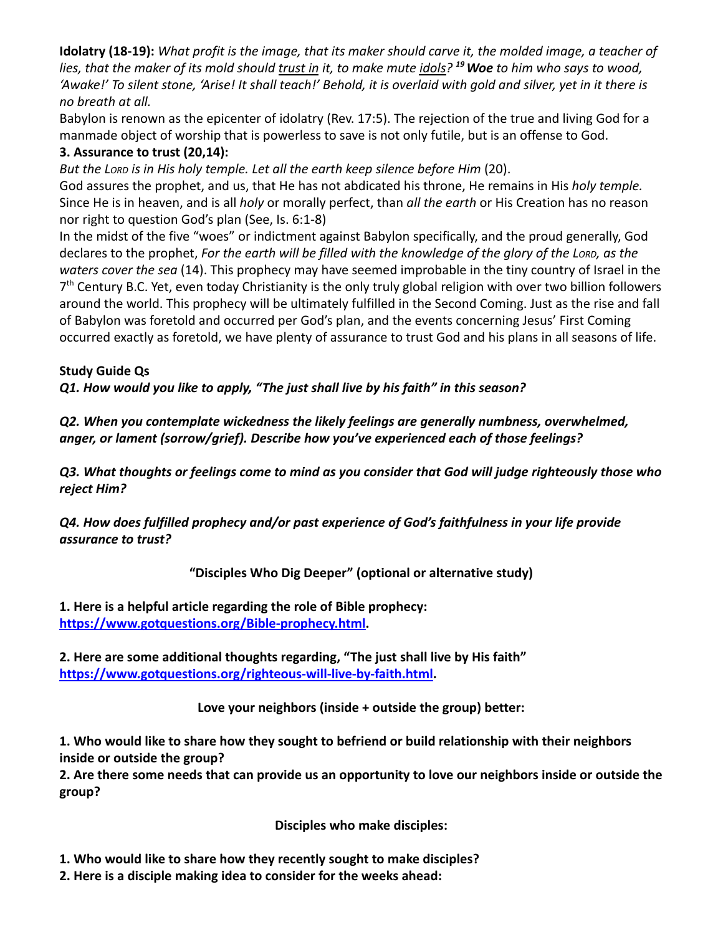**Idolatry (18-19):** *What profit is the image, that its maker should carve it, the molded image, a teacher of lies, that the maker of its mold should trust in it, to make mute idols? <sup>19</sup>Woe to him who says to wood, 'Awake!' To silent stone, 'Arise! It shall teach!' Behold, it is overlaid with gold and silver, yet in it there is no breath at all.*

Babylon is renown as the epicenter of idolatry (Rev. 17:5). The rejection of the true and living God for a manmade object of worship that is powerless to save is not only futile, but is an offense to God.

#### **3. Assurance to trust (20,14):**

*But the LORD is in His holy temple. Let all the earth keep silence before Him* (20).

God assures the prophet, and us, that He has not abdicated his throne, He remains in His *holy temple.* Since He is in heaven, and is all *holy* or morally perfect, than *all the earth* or His Creation has no reason nor right to question God's plan (See, Is. 6:1-8)

In the midst of the five "woes" or indictment against Babylon specifically, and the proud generally, God declares to the prophet, *For the earth will be filled with the knowledge of the glory of the LORD, as the waters cover the sea* (14). This prophecy may have seemed improbable in the tiny country of Israel in the 7<sup>th</sup> Century B.C. Yet, even today Christianity is the only truly global religion with over two billion followers around the world. This prophecy will be ultimately fulfilled in the Second Coming. Just as the rise and fall of Babylon was foretold and occurred per God's plan, and the events concerning Jesus' First Coming occurred exactly as foretold, we have plenty of assurance to trust God and his plans in all seasons of life.

## **Study Guide Qs**

*Q1. How would you like to apply, "The just shall live by his faith" in this season?*

*Q2. When you contemplate wickedness the likely feelings are generally numbness, overwhelmed, anger, or lament (sorrow/grief). Describe how you've experienced each of those feelings?*

*Q3. What thoughts or feelings come to mind as you consider that God will judge righteously those who reject Him?*

*Q4. How does fulfilled prophecy and/or past experience of God's faithfulness in your life provide assurance to trust?*

# **"Disciples Who Dig Deeper" (optional or alternative study)**

**1. Here is a helpful article regarding the role of Bible prophecy: [https://www.gotquestions.org/Bible-prophecy.html.](https://www.gotquestions.org/Bible-prophecy.html)**

**2. Here are some additional thoughts regarding, "The just shall live by His faith" [https://www.gotquestions.org/righteous-will-live-by-faith.html.](https://www.gotquestions.org/righteous-will-live-by-faith.html)**

**Love your neighbors (inside + outside the group) better:**

**1. Who would like to share how they sought to befriend or build relationship with their neighbors inside or outside the group?**

**2. Are there some needs that can provide us an opportunity to love our neighbors inside or outside the group?**

**Disciples who make disciples:**

- **1. Who would like to share how they recently sought to make disciples?**
- **2. Here is a disciple making idea to consider for the weeks ahead:**